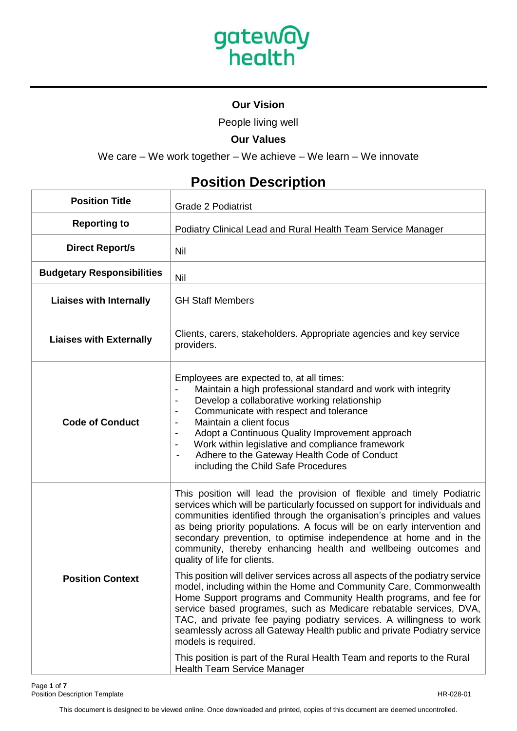

## **Our Vision**

People living well

### **Our Values**

We care – We work together – We achieve – We learn – We innovate

# **Position Description**

| <b>Position Title</b>             | <b>Grade 2 Podiatrist</b>                                                                                                                                                                                                                                                                                                                                                                                                                                                                                                                                                                                                                                                                                                                                                                                                                                                                                                                                                                                                                                                        |
|-----------------------------------|----------------------------------------------------------------------------------------------------------------------------------------------------------------------------------------------------------------------------------------------------------------------------------------------------------------------------------------------------------------------------------------------------------------------------------------------------------------------------------------------------------------------------------------------------------------------------------------------------------------------------------------------------------------------------------------------------------------------------------------------------------------------------------------------------------------------------------------------------------------------------------------------------------------------------------------------------------------------------------------------------------------------------------------------------------------------------------|
| <b>Reporting to</b>               | Podiatry Clinical Lead and Rural Health Team Service Manager                                                                                                                                                                                                                                                                                                                                                                                                                                                                                                                                                                                                                                                                                                                                                                                                                                                                                                                                                                                                                     |
| <b>Direct Report/s</b>            | Nil                                                                                                                                                                                                                                                                                                                                                                                                                                                                                                                                                                                                                                                                                                                                                                                                                                                                                                                                                                                                                                                                              |
| <b>Budgetary Responsibilities</b> | Nil                                                                                                                                                                                                                                                                                                                                                                                                                                                                                                                                                                                                                                                                                                                                                                                                                                                                                                                                                                                                                                                                              |
| <b>Liaises with Internally</b>    | <b>GH Staff Members</b>                                                                                                                                                                                                                                                                                                                                                                                                                                                                                                                                                                                                                                                                                                                                                                                                                                                                                                                                                                                                                                                          |
| <b>Liaises with Externally</b>    | Clients, carers, stakeholders. Appropriate agencies and key service<br>providers.                                                                                                                                                                                                                                                                                                                                                                                                                                                                                                                                                                                                                                                                                                                                                                                                                                                                                                                                                                                                |
| <b>Code of Conduct</b>            | Employees are expected to, at all times:<br>Maintain a high professional standard and work with integrity<br>Develop a collaborative working relationship<br>$\overline{\phantom{a}}$<br>Communicate with respect and tolerance<br>$\overline{\phantom{a}}$<br>Maintain a client focus<br>$\blacksquare$<br>Adopt a Continuous Quality Improvement approach<br>$\overline{\phantom{a}}$<br>Work within legislative and compliance framework<br>$\overline{\phantom{a}}$<br>Adhere to the Gateway Health Code of Conduct<br>$\overline{\phantom{a}}$<br>including the Child Safe Procedures                                                                                                                                                                                                                                                                                                                                                                                                                                                                                       |
| <b>Position Context</b>           | This position will lead the provision of flexible and timely Podiatric<br>services which will be particularly focussed on support for individuals and<br>communities identified through the organisation's principles and values<br>as being priority populations. A focus will be on early intervention and<br>secondary prevention, to optimise independence at home and in the<br>community, thereby enhancing health and wellbeing outcomes and<br>quality of life for clients.<br>This position will deliver services across all aspects of the podiatry service<br>model, including within the Home and Community Care, Commonwealth<br>Home Support programs and Community Health programs, and fee for<br>service based programes, such as Medicare rebatable services, DVA,<br>TAC, and private fee paying podiatry services. A willingness to work<br>seamlessly across all Gateway Health public and private Podiatry service<br>models is required.<br>This position is part of the Rural Health Team and reports to the Rural<br><b>Health Team Service Manager</b> |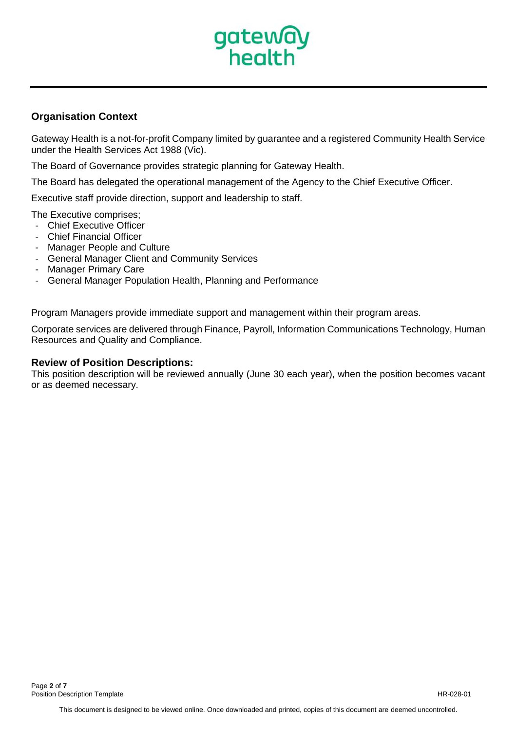

### **Organisation Context**

Gateway Health is a not-for-profit Company limited by guarantee and a registered Community Health Service under the Health Services Act 1988 (Vic).

The Board of Governance provides strategic planning for Gateway Health.

The Board has delegated the operational management of the Agency to the Chief Executive Officer.

Executive staff provide direction, support and leadership to staff.

The Executive comprises;

- Chief Executive Officer
- Chief Financial Officer
- Manager People and Culture
- General Manager Client and Community Services
- Manager Primary Care
- General Manager Population Health, Planning and Performance

Program Managers provide immediate support and management within their program areas.

Corporate services are delivered through Finance, Payroll, Information Communications Technology, Human Resources and Quality and Compliance.

#### **Review of Position Descriptions:**

This position description will be reviewed annually (June 30 each year), when the position becomes vacant or as deemed necessary.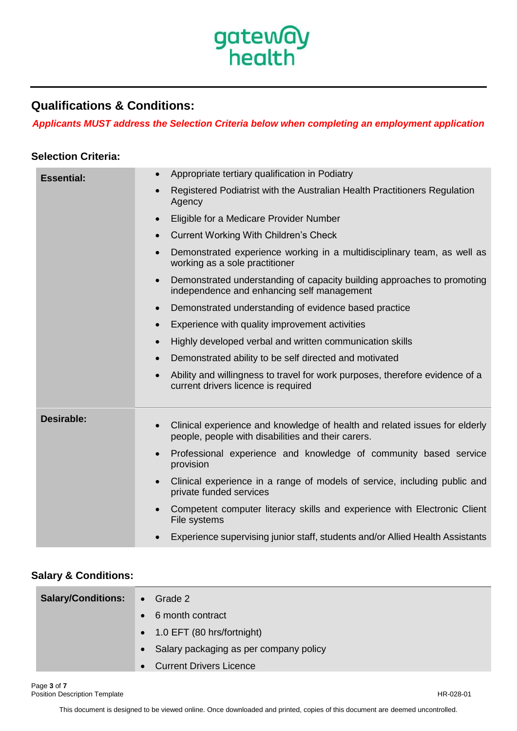

## **Qualifications & Conditions:**

*Applicants MUST address the Selection Criteria below when completing an employment application*

### **Selection Criteria:**

| <b>Essential:</b> | Appropriate tertiary qualification in Podiatry                                                                                     |
|-------------------|------------------------------------------------------------------------------------------------------------------------------------|
|                   | Registered Podiatrist with the Australian Health Practitioners Regulation<br>Agency                                                |
|                   | Eligible for a Medicare Provider Number                                                                                            |
|                   | <b>Current Working With Children's Check</b><br>$\bullet$                                                                          |
|                   | Demonstrated experience working in a multidisciplinary team, as well as<br>$\bullet$<br>working as a sole practitioner             |
|                   | Demonstrated understanding of capacity building approaches to promoting<br>$\bullet$<br>independence and enhancing self management |
|                   | Demonstrated understanding of evidence based practice<br>$\bullet$                                                                 |
|                   | Experience with quality improvement activities<br>$\bullet$                                                                        |
|                   | Highly developed verbal and written communication skills<br>$\bullet$                                                              |
|                   | Demonstrated ability to be self directed and motivated<br>$\bullet$                                                                |
|                   | Ability and willingness to travel for work purposes, therefore evidence of a<br>current drivers licence is required                |
| <b>Desirable:</b> |                                                                                                                                    |
|                   | Clinical experience and knowledge of health and related issues for elderly<br>people, people with disabilities and their carers.   |
|                   | Professional experience and knowledge of community based service<br>provision                                                      |
|                   | Clinical experience in a range of models of service, including public and<br>private funded services                               |
|                   | Competent computer literacy skills and experience with Electronic Client<br>File systems                                           |
|                   | Experience supervising junior staff, students and/or Allied Health Assistants                                                      |

## **Salary & Conditions:**

| <b>Salary/Conditions:</b> | $\bullet$ Grade 2                           |
|---------------------------|---------------------------------------------|
|                           | 6 month contract<br>$\bullet$               |
|                           | $\bullet$ 1.0 EFT (80 hrs/fortnight)        |
|                           | • Salary packaging as per company policy    |
|                           | <b>Current Drivers Licence</b><br>$\bullet$ |

This document is designed to be viewed online. Once downloaded and printed, copies of this document are deemed uncontrolled.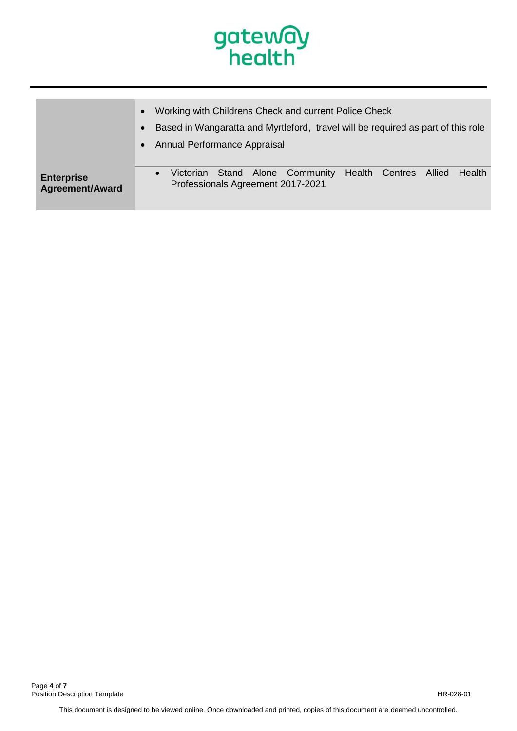

|                                             | Working with Childrens Check and current Police Check                                                                |
|---------------------------------------------|----------------------------------------------------------------------------------------------------------------------|
|                                             | Based in Wangaratta and Myrtleford, travel will be required as part of this role                                     |
|                                             | Annual Performance Appraisal<br>$\bullet$                                                                            |
| <b>Enterprise</b><br><b>Agreement/Award</b> | Victorian Stand Alone Community Health Centres<br>Allied<br>Health<br>$\bullet$<br>Professionals Agreement 2017-2021 |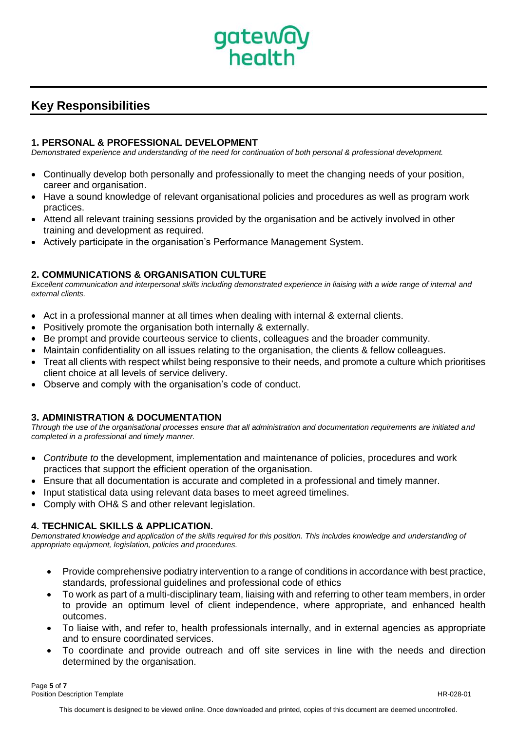

## **Key Responsibilities**

#### **1. PERSONAL & PROFESSIONAL DEVELOPMENT**

*Demonstrated experience and understanding of the need for continuation of both personal & professional development.*

- Continually develop both personally and professionally to meet the changing needs of your position, career and organisation.
- Have a sound knowledge of relevant organisational policies and procedures as well as program work practices.
- Attend all relevant training sessions provided by the organisation and be actively involved in other training and development as required.
- Actively participate in the organisation's Performance Management System.

#### **2. COMMUNICATIONS & ORGANISATION CULTURE**

*Excellent communication and interpersonal skills including demonstrated experience in liaising with a wide range of internal and external clients.*

- Act in a professional manner at all times when dealing with internal & external clients.
- Positively promote the organisation both internally & externally.
- Be prompt and provide courteous service to clients, colleagues and the broader community.
- Maintain confidentiality on all issues relating to the organisation, the clients & fellow colleagues.
- Treat all clients with respect whilst being responsive to their needs, and promote a culture which prioritises client choice at all levels of service delivery.
- Observe and comply with the organisation's code of conduct.

#### **3. ADMINISTRATION & DOCUMENTATION**

*Through the use of the organisational processes ensure that all administration and documentation requirements are initiated and completed in a professional and timely manner.*

- *Contribute to* the development, implementation and maintenance of policies, procedures and work practices that support the efficient operation of the organisation.
- Ensure that all documentation is accurate and completed in a professional and timely manner.
- Input statistical data using relevant data bases to meet agreed timelines.
- Comply with OH& S and other relevant legislation.

#### **4. TECHNICAL SKILLS & APPLICATION.**

*Demonstrated knowledge and application of the skills required for this position. This includes knowledge and understanding of appropriate equipment, legislation, policies and procedures.*

- Provide comprehensive podiatry intervention to a range of conditions in accordance with best practice, standards, professional guidelines and professional code of ethics
- To work as part of a multi-disciplinary team, liaising with and referring to other team members, in order to provide an optimum level of client independence, where appropriate, and enhanced health outcomes.
- To liaise with, and refer to, health professionals internally, and in external agencies as appropriate and to ensure coordinated services.
- To coordinate and provide outreach and off site services in line with the needs and direction determined by the organisation.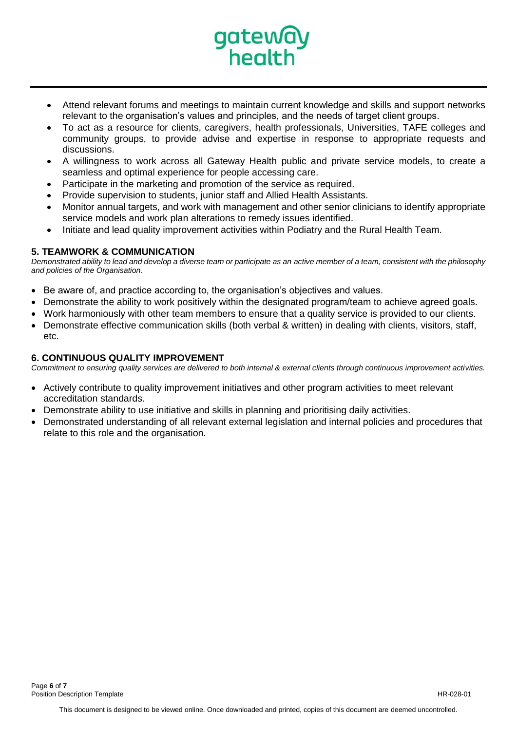

- Attend relevant forums and meetings to maintain current knowledge and skills and support networks relevant to the organisation's values and principles, and the needs of target client groups.
- To act as a resource for clients, caregivers, health professionals, Universities, TAFE colleges and community groups, to provide advise and expertise in response to appropriate requests and discussions.
- A willingness to work across all Gateway Health public and private service models, to create a seamless and optimal experience for people accessing care.
- Participate in the marketing and promotion of the service as required.
- Provide supervision to students, junior staff and Allied Health Assistants.
- Monitor annual targets, and work with management and other senior clinicians to identify appropriate service models and work plan alterations to remedy issues identified.
- Initiate and lead quality improvement activities within Podiatry and the Rural Health Team.

#### **5. TEAMWORK & COMMUNICATION**

*Demonstrated ability to lead and develop a diverse team or participate as an active member of a team, consistent with the philosophy and policies of the Organisation.*

- Be aware of, and practice according to, the organisation's objectives and values.
- Demonstrate the ability to work positively within the designated program/team to achieve agreed goals.
- Work harmoniously with other team members to ensure that a quality service is provided to our clients.
- Demonstrate effective communication skills (both verbal & written) in dealing with clients, visitors, staff, etc.

#### **6. CONTINUOUS QUALITY IMPROVEMENT**

*Commitment to ensuring quality services are delivered to both internal & external clients through continuous improvement activities.*

- Actively contribute to quality improvement initiatives and other program activities to meet relevant accreditation standards.
- Demonstrate ability to use initiative and skills in planning and prioritising daily activities.
- Demonstrated understanding of all relevant external legislation and internal policies and procedures that relate to this role and the organisation.